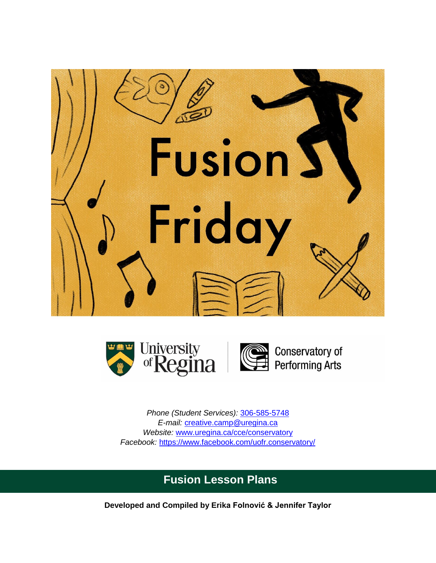



Conservatory of<br>Performing Arts

*Phone (Student Services):* [306-585-5748](tel:3065855748) *E-mail:* [creative.camp@uregina.ca](mailto:creative.camp@uregina.ca) *Website:* [www.uregina.ca/cce/conservatory](http://www.uregina.ca/cce/conservatory) *Facebook:* <https://www.facebook.com/uofr.conservatory/>

# **Fusion Lesson Plans**

**Developed and Compiled by Erika Folnović & Jennifer Taylor**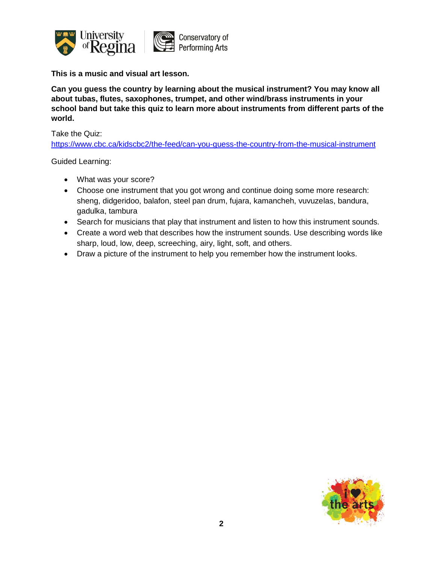

**Can you guess the country by learning about the musical instrument? You may know all about tubas, flutes, saxophones, trumpet, and other wind/brass instruments in your school band but take this quiz to learn more about instruments from different parts of the world.**

Take the Quiz:

<https://www.cbc.ca/kidscbc2/the-feed/can-you-guess-the-country-from-the-musical-instrument>

- What was your score?
- Choose one instrument that you got wrong and continue doing some more research: sheng, didgeridoo, balafon, steel pan drum, fujara, kamancheh, vuvuzelas, bandura, gadulka, tambura
- Search for musicians that play that instrument and listen to how this instrument sounds.
- Create a word web that describes how the instrument sounds. Use describing words like sharp, loud, low, deep, screeching, airy, light, soft, and others.
- Draw a picture of the instrument to help you remember how the instrument looks.

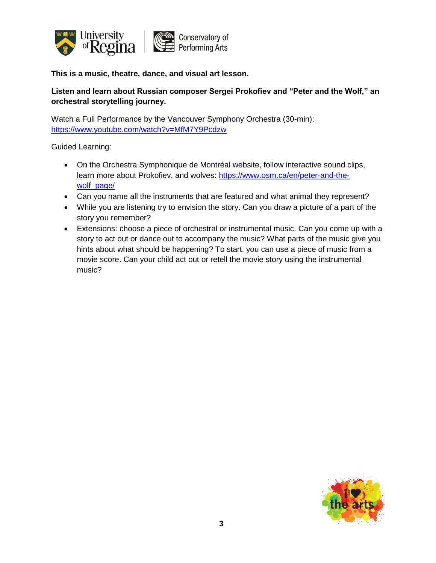

**This is a music, theatre, dance, and visual art lesson.** 

# **Listen and learn about Russian composer Sergei Prokofiev and "Peter and the Wolf," an orchestral storytelling journey.**

Watch a Full Performance by the Vancouver Symphony Orchestra (30-min): <https://www.youtube.com/watch?v=MfM7Y9Pcdzw>

- On the Orchestra Symphonique de Montréal website, follow interactive sound clips, learn more about Prokofiev, and wolves: [https://www.osm.ca/en/peter-and-the](https://www.osm.ca/en/peter-and-the-wolf_page/)wolf page/
- Can you name all the instruments that are featured and what animal they represent?
- While you are listening try to envision the story. Can you draw a picture of a part of the story you remember?
- Extensions: choose a piece of orchestral or instrumental music. Can you come up with a story to act out or dance out to accompany the music? What parts of the music give you hints about what should be happening? To start, you can use a piece of music from a movie score. Can your child act out or retell the movie story using the instrumental music?

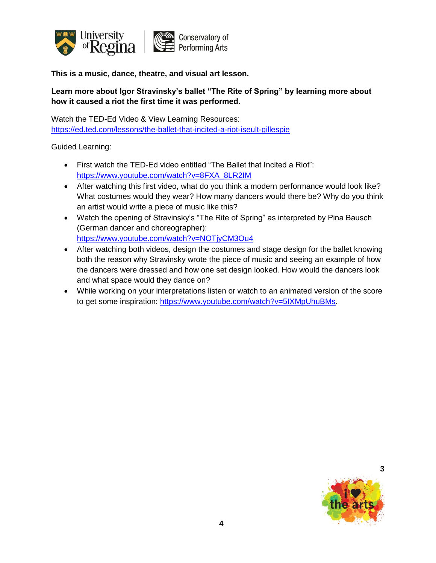

**This is a music, dance, theatre, and visual art lesson.** 

# **Learn more about Igor Stravinsky's ballet "The Rite of Spring" by learning more about how it caused a riot the first time it was performed.**

Watch the TED-Ed Video & View Learning Resources: <https://ed.ted.com/lessons/the-ballet-that-incited-a-riot-iseult-gillespie>

- First watch the TED-Ed video entitled "The Ballet that Incited a Riot": [https://www.youtube.com/watch?v=8FXA\\_8LR2IM](https://www.youtube.com/watch?v=8FXA_8LR2IM)
- After watching this first video, what do you think a modern performance would look like? What costumes would they wear? How many dancers would there be? Why do you think an artist would write a piece of music like this?
- Watch the opening of Stravinsky's "The Rite of Spring" as interpreted by Pina Bausch (German dancer and choreographer): <https://www.youtube.com/watch?v=NOTjyCM3Ou4>
- After watching both videos, design the costumes and stage design for the ballet knowing both the reason why Stravinsky wrote the piece of music and seeing an example of how the dancers were dressed and how one set design looked. How would the dancers look and what space would they dance on?
- While working on your interpretations listen or watch to an animated version of the score to get some inspiration: [https://www.youtube.com/watch?v=5IXMpUhuBMs.](https://www.youtube.com/watch?v=5IXMpUhuBMs)

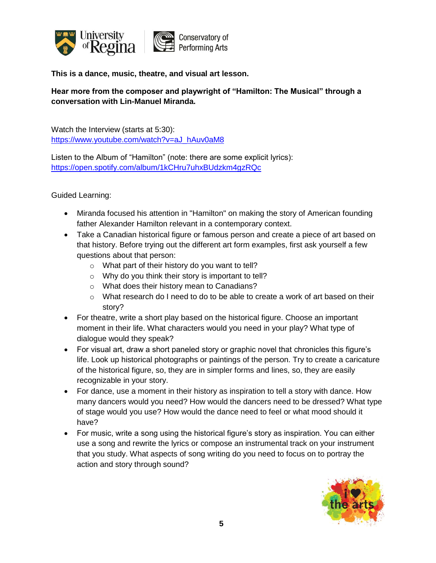

**This is a dance, music, theatre, and visual art lesson.** 

**Hear more from the composer and playwright of "Hamilton: The Musical" through a conversation with Lin-Manuel Miranda.**

Watch the Interview (starts at 5:30): [https://www.youtube.com/watch?v=aJ\\_hAuv0aM8](https://www.youtube.com/watch?v=aJ_hAuv0aM8)

Listen to the Album of "Hamilton" (note: there are some explicit lyrics): <https://open.spotify.com/album/1kCHru7uhxBUdzkm4gzRQc>

- Miranda focused his attention in "Hamilton" on making the story of American founding father Alexander Hamilton relevant in a contemporary context.
- Take a Canadian historical figure or famous person and create a piece of art based on that history. Before trying out the different art form examples, first ask yourself a few questions about that person:
	- o What part of their history do you want to tell?
	- o Why do you think their story is important to tell?
	- o What does their history mean to Canadians?
	- $\circ$  What research do I need to do to be able to create a work of art based on their story?
- For theatre, write a short play based on the historical figure. Choose an important moment in their life. What characters would you need in your play? What type of dialogue would they speak?
- For visual art, draw a short paneled story or graphic novel that chronicles this figure's life. Look up historical photographs or paintings of the person. Try to create a caricature of the historical figure, so, they are in simpler forms and lines, so, they are easily recognizable in your story.
- For dance, use a moment in their history as inspiration to tell a story with dance. How many dancers would you need? How would the dancers need to be dressed? What type of stage would you use? How would the dance need to feel or what mood should it have?
- For music, write a song using the historical figure's story as inspiration. You can either use a song and rewrite the lyrics or compose an instrumental track on your instrument that you study. What aspects of song writing do you need to focus on to portray the action and story through sound?

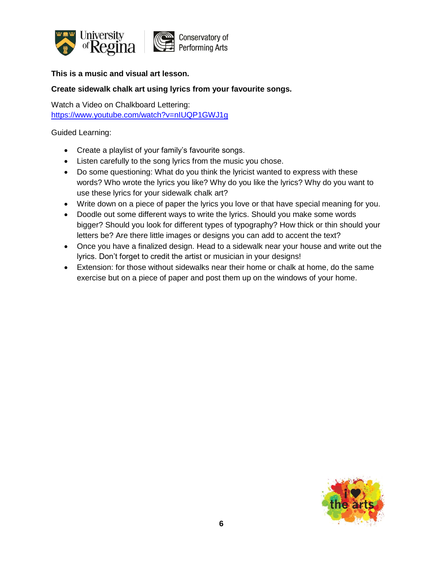

#### **Create sidewalk chalk art using lyrics from your favourite songs.**

Watch a Video on Chalkboard Lettering: <https://www.youtube.com/watch?v=nIUQP1GWJ1g>

- Create a playlist of your family's favourite songs.
- Listen carefully to the song lyrics from the music you chose.
- Do some questioning: What do you think the lyricist wanted to express with these words? Who wrote the lyrics you like? Why do you like the lyrics? Why do you want to use these lyrics for your sidewalk chalk art?
- Write down on a piece of paper the lyrics you love or that have special meaning for you.
- Doodle out some different ways to write the lyrics. Should you make some words bigger? Should you look for different types of typography? How thick or thin should your letters be? Are there little images or designs you can add to accent the text?
- Once you have a finalized design. Head to a sidewalk near your house and write out the lyrics. Don't forget to credit the artist or musician in your designs!
- Extension: for those without sidewalks near their home or chalk at home, do the same exercise but on a piece of paper and post them up on the windows of your home.

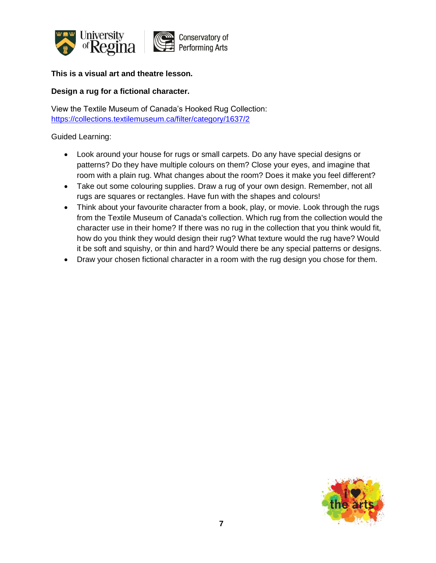

#### **This is a visual art and theatre lesson.**

#### **Design a rug for a fictional character.**

View the Textile Museum of Canada's Hooked Rug Collection: <https://collections.textilemuseum.ca/filter/category/1637/2>

- Look around your house for rugs or small carpets. Do any have special designs or patterns? Do they have multiple colours on them? Close your eyes, and imagine that room with a plain rug. What changes about the room? Does it make you feel different?
- Take out some colouring supplies. Draw a rug of your own design. Remember, not all rugs are squares or rectangles. Have fun with the shapes and colours!
- Think about your favourite character from a book, play, or movie. Look through the rugs from the Textile Museum of Canada's collection. Which rug from the collection would the character use in their home? If there was no rug in the collection that you think would fit, how do you think they would design their rug? What texture would the rug have? Would it be soft and squishy, or thin and hard? Would there be any special patterns or designs.
- Draw your chosen fictional character in a room with the rug design you chose for them.

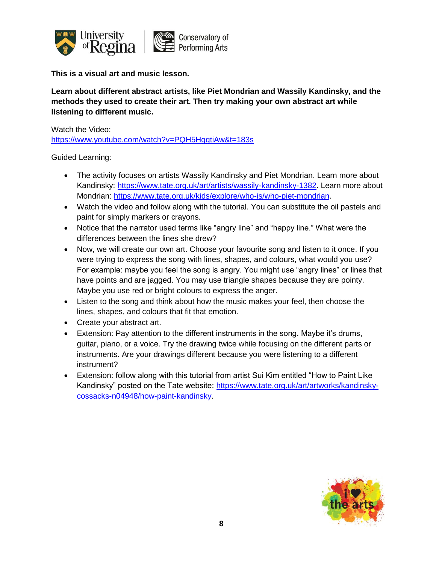

**This is a visual art and music lesson.** 

**Learn about different abstract artists, like Piet Mondrian and Wassily Kandinsky, and the methods they used to create their art. Then try making your own abstract art while listening to different music.**

Watch the Video:

<https://www.youtube.com/watch?v=PQH5HggtiAw&t=183s>

- The activity focuses on artists Wassily Kandinsky and Piet Mondrian. Learn more about Kandinsky: [https://www.tate.org.uk/art/artists/wassily-kandinsky-1382.](https://www.tate.org.uk/art/artists/wassily-kandinsky-1382) Learn more about Mondrian: [https://www.tate.org.uk/kids/explore/who-is/who-piet-mondrian.](https://www.tate.org.uk/kids/explore/who-is/who-piet-mondrian)
- Watch the video and follow along with the tutorial. You can substitute the oil pastels and paint for simply markers or crayons.
- Notice that the narrator used terms like "angry line" and "happy line." What were the differences between the lines she drew?
- Now, we will create our own art. Choose your favourite song and listen to it once. If you were trying to express the song with lines, shapes, and colours, what would you use? For example: maybe you feel the song is angry. You might use "angry lines" or lines that have points and are jagged. You may use triangle shapes because they are pointy. Maybe you use red or bright colours to express the anger.
- Listen to the song and think about how the music makes your feel, then choose the lines, shapes, and colours that fit that emotion.
- Create your abstract art.
- Extension: Pay attention to the different instruments in the song. Maybe it's drums, guitar, piano, or a voice. Try the drawing twice while focusing on the different parts or instruments. Are your drawings different because you were listening to a different instrument?
- Extension: follow along with this tutorial from artist Sui Kim entitled "How to Paint Like Kandinsky" posted on the Tate website: [https://www.tate.org.uk/art/artworks/kandinsky](https://www.tate.org.uk/art/artworks/kandinsky-cossacks-n04948/how-paint-kandinsky)[cossacks-n04948/how-paint-kandinsky.](https://www.tate.org.uk/art/artworks/kandinsky-cossacks-n04948/how-paint-kandinsky)

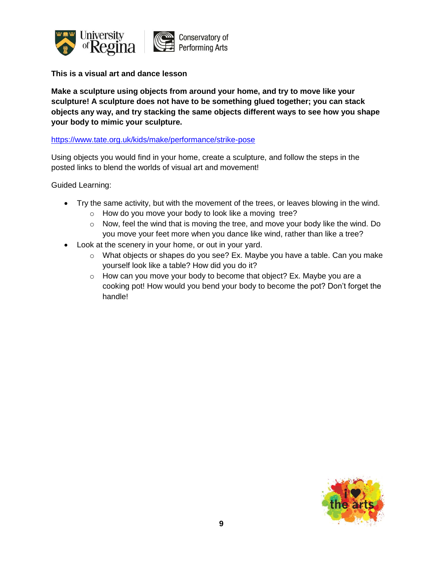

**This is a visual art and dance lesson**

**Make a sculpture using objects from around your home, and try to move like your sculpture! A sculpture does not have to be something glued together; you can stack objects any way, and try stacking the same objects different ways to see how you shape your body to mimic your sculpture.**

#### <https://www.tate.org.uk/kids/make/performance/strike-pose>

Using objects you would find in your home, create a sculpture, and follow the steps in the posted links to blend the worlds of visual art and movement!

- Try the same activity, but with the movement of the trees, or leaves blowing in the wind.
	- o How do you move your body to look like a moving tree?
	- $\circ$  Now, feel the wind that is moving the tree, and move your body like the wind. Do you move your feet more when you dance like wind, rather than like a tree?
- Look at the scenery in your home, or out in your yard.
	- o What objects or shapes do you see? Ex. Maybe you have a table. Can you make yourself look like a table? How did you do it?
	- $\circ$  How can you move your body to become that object? Ex. Maybe you are a cooking pot! How would you bend your body to become the pot? Don't forget the handle!

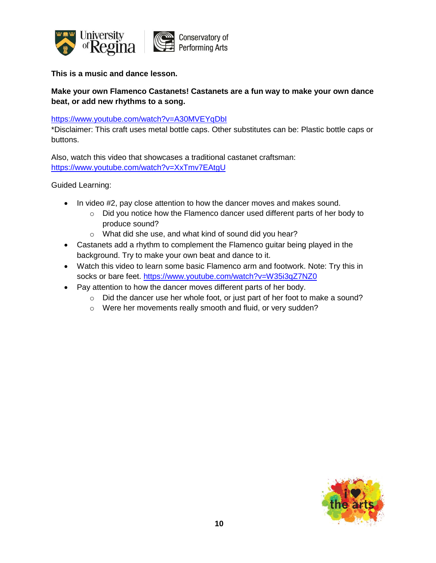

**This is a music and dance lesson.**

# **Make your own Flamenco Castanets! Castanets are a fun way to make your own dance beat, or add new rhythms to a song.**

<https://www.youtube.com/watch?v=A30MVEYqDbI>

\*Disclaimer: This craft uses metal bottle caps. Other substitutes can be: Plastic bottle caps or buttons.

Also, watch this video that showcases a traditional castanet craftsman: <https://www.youtube.com/watch?v=XxTmv7EAtgU>

- In video #2, pay close attention to how the dancer moves and makes sound.
	- o Did you notice how the Flamenco dancer used different parts of her body to produce sound?
	- o What did she use, and what kind of sound did you hear?
- Castanets add a rhythm to complement the Flamenco guitar being played in the background. Try to make your own beat and dance to it.
- Watch this video to learn some basic Flamenco arm and footwork. Note: Try this in socks or bare feet. <https://www.youtube.com/watch?v=W35i3qZ7NZ0>
- Pay attention to how the dancer moves different parts of her body.
	- $\circ$  Did the dancer use her whole foot, or just part of her foot to make a sound?
	- o Were her movements really smooth and fluid, or very sudden?

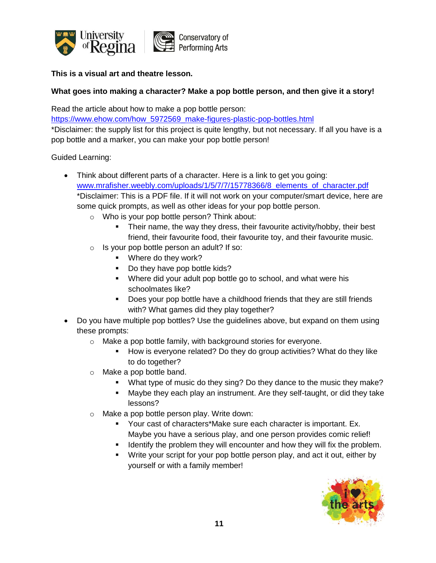

#### **This is a visual art and theatre lesson.**

#### **What goes into making a character? Make a pop bottle person, and then give it a story!**

Read the article about how to make a pop bottle person:

[https://www.ehow.com/how\\_5972569\\_make-figures-plastic-pop-bottles.html](https://www.ehow.com/how_5972569_make-figures-plastic-pop-bottles.html) \*Disclaimer: the supply list for this project is quite lengthy, but not necessary. If all you have is a pop bottle and a marker, you can make your pop bottle person!

- Think about different parts of a character. Here is a link to get you going: [www.mrafisher.weebly.com/uploads/1/5/7/7/15778366/8\\_elements\\_of\\_character.pdf](http://www.mrafisher.weebly.com/uploads/1/5/7/7/15778366/8_elements_of_character.pdf) \*Disclaimer: This is a PDF file. If it will not work on your computer/smart device, here are some quick prompts, as well as other ideas for your pop bottle person.
	- o Who is your pop bottle person? Think about:
		- Their name, the way they dress, their favourite activity/hobby, their best friend, their favourite food, their favourite toy, and their favourite music.
	- o Is your pop bottle person an adult? If so:
		- **Where do they work?**
		- Do they have pop bottle kids?
		- Where did your adult pop bottle go to school, and what were his schoolmates like?
		- **Does your pop bottle have a childhood friends that they are still friends** with? What games did they play together?
- Do you have multiple pop bottles? Use the guidelines above, but expand on them using these prompts:
	- o Make a pop bottle family, with background stories for everyone.
		- How is everyone related? Do they do group activities? What do they like to do together?
	- o Make a pop bottle band.
		- **What type of music do they sing? Do they dance to the music they make?**
		- Maybe they each play an instrument. Are they self-taught, or did they take lessons?
	- o Make a pop bottle person play. Write down:
		- Your cast of characters\*Make sure each character is important. Ex. Maybe you have a serious play, and one person provides comic relief!
		- **IDENTIFY 19** Identify the problem they will encounter and how they will fix the problem.
		- Write your script for your pop bottle person play, and act it out, either by yourself or with a family member!

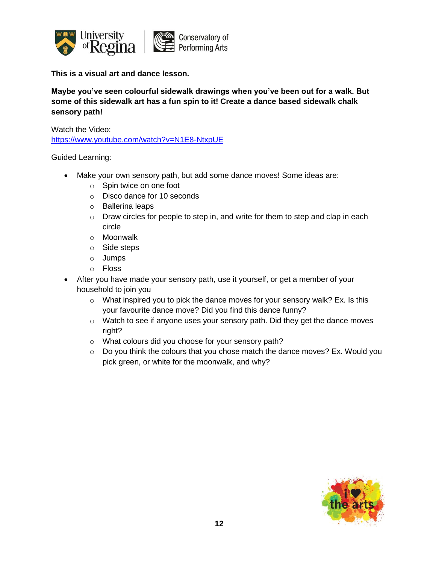

**This is a visual art and dance lesson.** 

**Maybe you've seen colourful sidewalk drawings when you've been out for a walk. But some of this sidewalk art has a fun spin to it! Create a dance based sidewalk chalk sensory path!**

Watch the Video:

<https://www.youtube.com/watch?v=N1E8-NtxpUE>

- Make your own sensory path, but add some dance moves! Some ideas are:
	- o Spin twice on one foot
	- o Disco dance for 10 seconds
	- o Ballerina leaps
	- $\circ$  Draw circles for people to step in, and write for them to step and clap in each circle
	- o Moonwalk
	- o Side steps
	- o Jumps
	- o Floss
- After you have made your sensory path, use it yourself, or get a member of your household to join you
	- $\circ$  What inspired you to pick the dance moves for your sensory walk? Ex. Is this your favourite dance move? Did you find this dance funny?
	- o Watch to see if anyone uses your sensory path. Did they get the dance moves right?
	- o What colours did you choose for your sensory path?
	- o Do you think the colours that you chose match the dance moves? Ex. Would you pick green, or white for the moonwalk, and why?

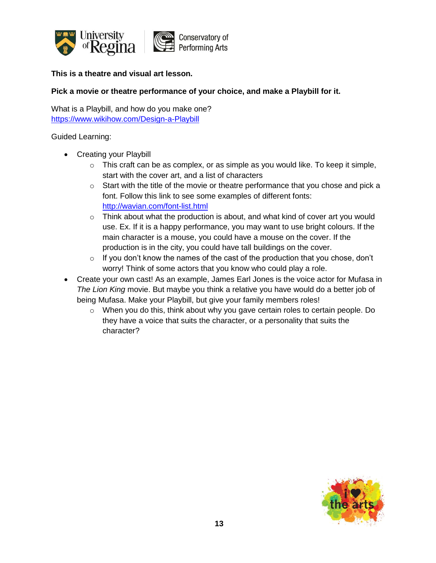

#### **This is a theatre and visual art lesson.**

#### **Pick a movie or theatre performance of your choice, and make a Playbill for it.**

What is a Playbill, and how do you make one? <https://www.wikihow.com/Design-a-Playbill>

- Creating your Playbill
	- $\circ$  This craft can be as complex, or as simple as you would like. To keep it simple, start with the cover art, and a list of characters
	- $\circ$  Start with the title of the movie or theatre performance that you chose and pick a font. Follow this link to see some examples of different fonts: <http://wavian.com/font-list.html>
	- $\circ$  Think about what the production is about, and what kind of cover art you would use. Ex. If it is a happy performance, you may want to use bright colours. If the main character is a mouse, you could have a mouse on the cover. If the production is in the city, you could have tall buildings on the cover.
	- o If you don't know the names of the cast of the production that you chose, don't worry! Think of some actors that you know who could play a role.
- Create your own cast! As an example, James Earl Jones is the voice actor for Mufasa in *The Lion King* movie. But maybe you think a relative you have would do a better job of being Mufasa. Make your Playbill, but give your family members roles!
	- $\circ$  When you do this, think about why you gave certain roles to certain people. Do they have a voice that suits the character, or a personality that suits the character?

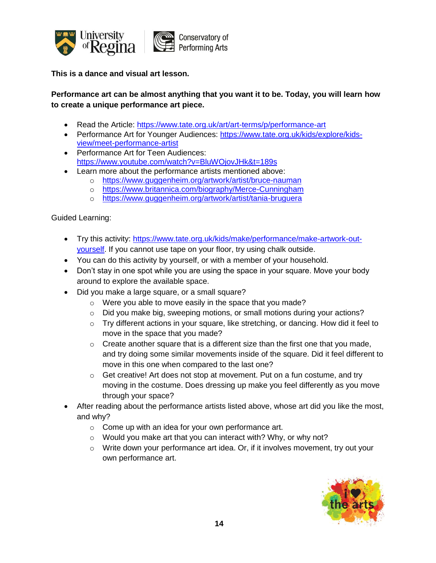

**This is a dance and visual art lesson.** 

# **Performance art can be almost anything that you want it to be. Today, you will learn how to create a unique performance art piece.**

- Read the Article:<https://www.tate.org.uk/art/art-terms/p/performance-art>
- Performance Art for Younger Audiences: [https://www.tate.org.uk/kids/explore/kids](https://www.tate.org.uk/kids/explore/kids-view/meet-performance-artist)[view/meet-performance-artist](https://www.tate.org.uk/kids/explore/kids-view/meet-performance-artist)
- Performance Art for Teen Audiences: <https://www.youtube.com/watch?v=BluWOjovJHk&t=189s>
- Learn more about the performance artists mentioned above:
	- o <https://www.guggenheim.org/artwork/artist/bruce-nauman>
	- o <https://www.britannica.com/biography/Merce-Cunningham>
	- o <https://www.guggenheim.org/artwork/artist/tania-bruguera>

- Try this activity: [https://www.tate.org.uk/kids/make/performance/make-artwork-out](https://www.tate.org.uk/kids/make/performance/make-artwork-out-yourself)[yourself.](https://www.tate.org.uk/kids/make/performance/make-artwork-out-yourself) If you cannot use tape on your floor, try using chalk outside.
- You can do this activity by yourself, or with a member of your household.
- Don't stay in one spot while you are using the space in your square. Move your body around to explore the available space.
- Did you make a large square, or a small square?
	- o Were you able to move easily in the space that you made?
	- o Did you make big, sweeping motions, or small motions during your actions?
	- o Try different actions in your square, like stretching, or dancing. How did it feel to move in the space that you made?
	- $\circ$  Create another square that is a different size than the first one that you made, and try doing some similar movements inside of the square. Did it feel different to move in this one when compared to the last one?
	- o Get creative! Art does not stop at movement. Put on a fun costume, and try moving in the costume. Does dressing up make you feel differently as you move through your space?
- After reading about the performance artists listed above, whose art did you like the most, and why?
	- o Come up with an idea for your own performance art.
	- o Would you make art that you can interact with? Why, or why not?
	- $\circ$  Write down your performance art idea. Or, if it involves movement, try out your own performance art.

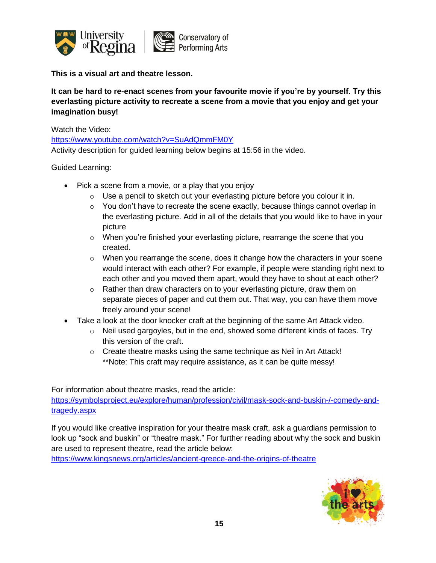

**This is a visual art and theatre lesson.**

**It can be hard to re-enact scenes from your favourite movie if you're by yourself. Try this everlasting picture activity to recreate a scene from a movie that you enjoy and get your imagination busy!**

Watch the Video:

<https://www.youtube.com/watch?v=SuAdQmmFM0Y>

Activity description for guided learning below begins at 15:56 in the video.

Guided Learning:

- Pick a scene from a movie, or a play that you enjoy
	- $\circ$  Use a pencil to sketch out your everlasting picture before you colour it in.
	- $\circ$  You don't have to recreate the scene exactly, because things cannot overlap in the everlasting picture. Add in all of the details that you would like to have in your picture
	- o When you're finished your everlasting picture, rearrange the scene that you created.
	- o When you rearrange the scene, does it change how the characters in your scene would interact with each other? For example, if people were standing right next to each other and you moved them apart, would they have to shout at each other?
	- o Rather than draw characters on to your everlasting picture, draw them on separate pieces of paper and cut them out. That way, you can have them move freely around your scene!
- Take a look at the door knocker craft at the beginning of the same Art Attack video.
	- o Neil used gargoyles, but in the end, showed some different kinds of faces. Try this version of the craft.
	- o Create theatre masks using the same technique as Neil in Art Attack! \*\*Note: This craft may require assistance, as it can be quite messy!

For information about theatre masks, read the article:

[https://symbolsproject.eu/explore/human/profession/civil/mask-sock-and-buskin-/-comedy-and](https://symbolsproject.eu/explore/human/profession/civil/mask-sock-and-buskin-/-comedy-and-tragedy.aspx)[tragedy.aspx](https://symbolsproject.eu/explore/human/profession/civil/mask-sock-and-buskin-/-comedy-and-tragedy.aspx)

If you would like creative inspiration for your theatre mask craft, ask a guardians permission to look up "sock and buskin" or "theatre mask." For further reading about why the sock and buskin are used to represent theatre, read the article below:

<https://www.kingsnews.org/articles/ancient-greece-and-the-origins-of-theatre>

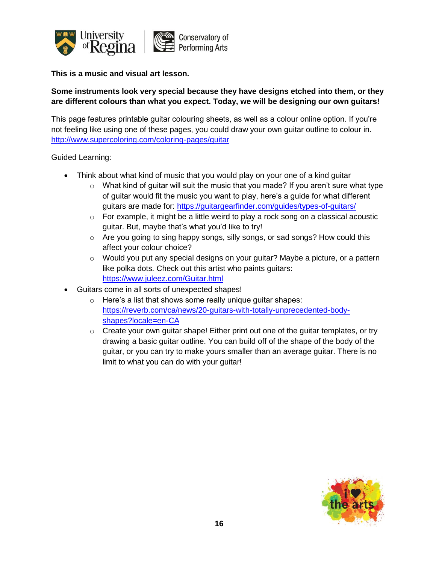

# **Some instruments look very special because they have designs etched into them, or they are different colours than what you expect. Today, we will be designing our own guitars!**

This page features printable guitar colouring sheets, as well as a colour online option. If you're not feeling like using one of these pages, you could draw your own guitar outline to colour in. <http://www.supercoloring.com/coloring-pages/guitar>

- Think about what kind of music that you would play on your one of a kind guitar
	- $\circ$  What kind of guitar will suit the music that you made? If you aren't sure what type of guitar would fit the music you want to play, here's a guide for what different guitars are made for:<https://guitargearfinder.com/guides/types-of-guitars/>
	- $\circ$  For example, it might be a little weird to play a rock song on a classical acoustic guitar. But, maybe that's what you'd like to try!
	- o Are you going to sing happy songs, silly songs, or sad songs? How could this affect your colour choice?
	- o Would you put any special designs on your guitar? Maybe a picture, or a pattern like polka dots. Check out this artist who paints guitars: <https://www.juleez.com/Guitar.html>
- Guitars come in all sorts of unexpected shapes!
	- $\circ$  Here's a list that shows some really unique guitar shapes: [https://reverb.com/ca/news/20-guitars-with-totally-unprecedented-body](https://reverb.com/ca/news/20-guitars-with-totally-unprecedented-body-shapes?locale=en-CA)[shapes?locale=en-CA](https://reverb.com/ca/news/20-guitars-with-totally-unprecedented-body-shapes?locale=en-CA)
	- $\circ$  Create your own guitar shape! Either print out one of the guitar templates, or try drawing a basic guitar outline. You can build off of the shape of the body of the guitar, or you can try to make yours smaller than an average guitar. There is no limit to what you can do with your guitar!